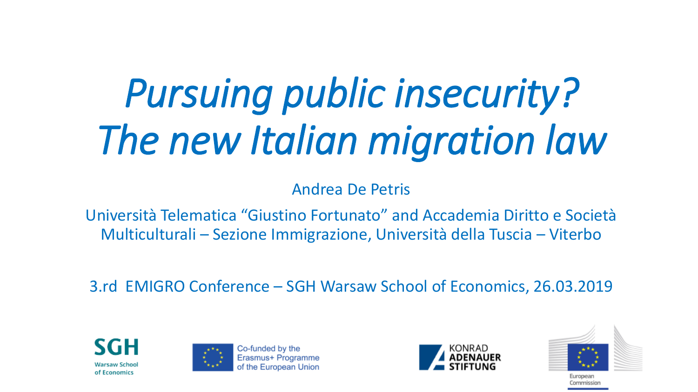# *Pursuing public insecurity? The new Italian migration law*

Andrea De Petris

Università Telematica "Giustino Fortunato" and Accademia Diritto e Società Multiculturali – Sezione Immigrazione, Università della Tuscia – Viterbo

3.rd EMIGRO Conference – SGH Warsaw School of Economics, 26.03.2019





Co-funded by the Erasmus+ Programm of the European Unior





European Commission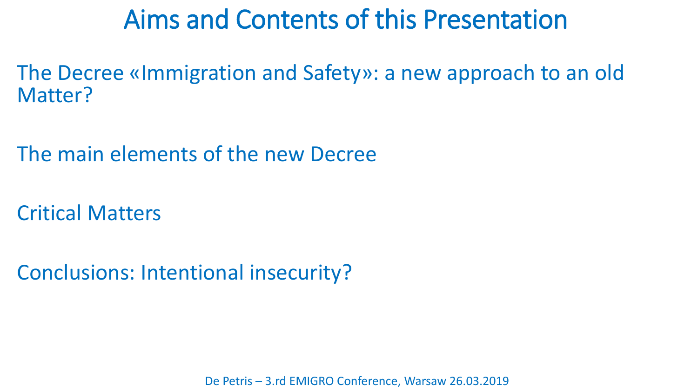#### Aims and Contents of this Presentation

The Decree «Immigration and Safety»: a new approach to an old Matter?

The main elements of the new Decree

Critical Matters

Conclusions: Intentional insecurity?

De Petris – 3.rd EMIGRO Conference, Warsaw 26.03.2019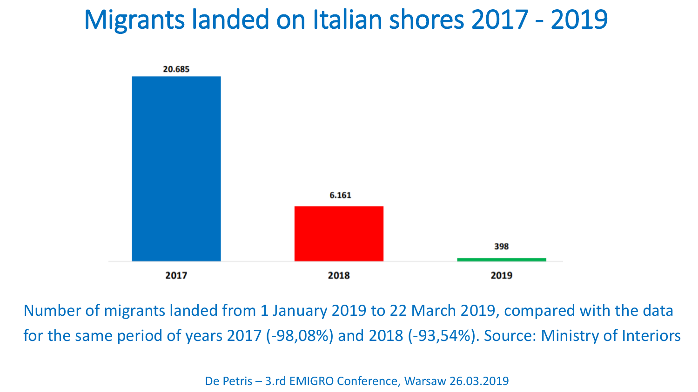## Migrants landed on Italian shores 2017 - 2019



Number of migrants landed from 1 January 2019 to 22 March 2019, compared with the data for the same period of years 2017 (-98,08%) and 2018 (-93,54%). Source: Ministry of Interiors

De Petris – 3.rd EMIGRO Conference, Warsaw 26.03.2019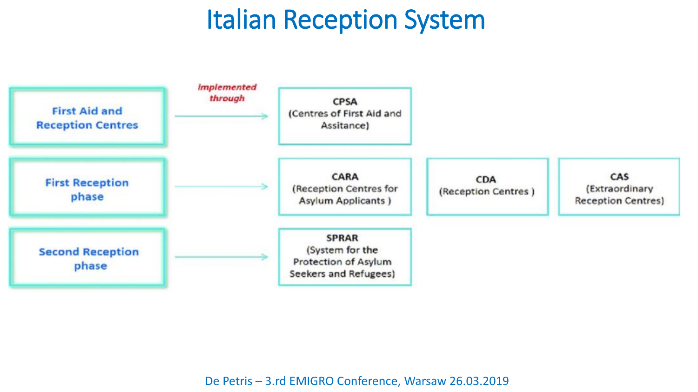# Italian Reception System

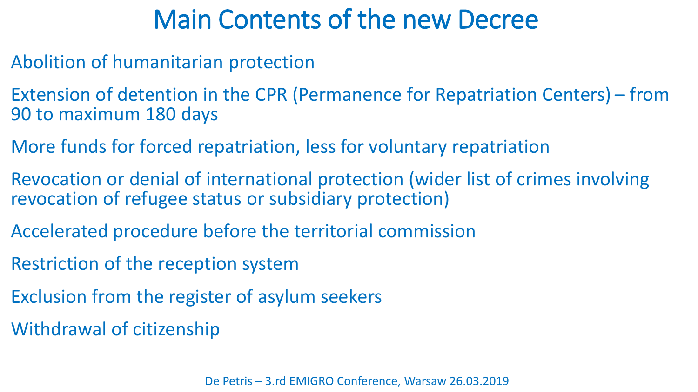## Main Contents of the new Decree

- Abolition of humanitarian protection
- Extension of detention in the CPR (Permanence for Repatriation Centers) from 90 to maximum 180 days
- More funds for forced repatriation, less for voluntary repatriation
- Revocation or denial of international protection (wider list of crimes involving revocation of refugee status or subsidiary protection)
- Accelerated procedure before the territorial commission
- Restriction of the reception system
- Exclusion from the register of asylum seekers
- Withdrawal of citizenship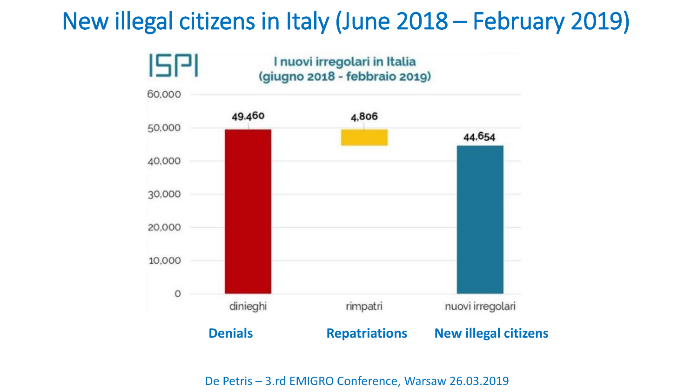#### New illegal citizens in Italy (June 2018 – February 2019)



De Petris – 3.rd EMIGRO Conference, Warsaw 26.03.2019